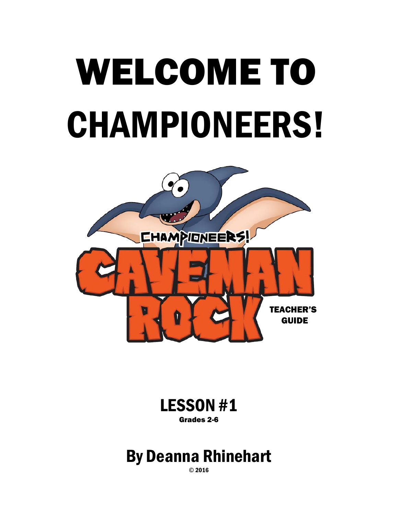# WELCOME TO CHAMPIONEERS!



LESSON #1 Grades 2-6

# By Deanna Rhinehart

© 2016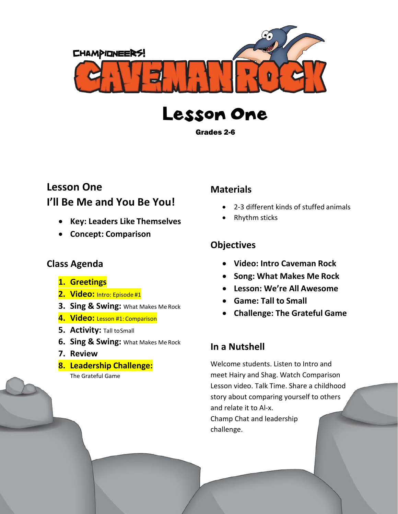





# **Lesson One I'll Be Me and You Be You!**

- **Key: Leaders Like Themselves**
- **Concept: Comparison**

#### **Class Agenda**

- **1. Greetings**
- **2. Video:** Intro: Episode #1
- **3. Sing & Swing:** What Makes Me Rock
- **4. Video:** Lesson #1: Comparison
- **5. Activity:** Tall toSmall
- **6. Sing & Swing:** What Makes Me Rock
- **7. Review**
- **8. Leadership Challenge:**

The Grateful Game

## **Materials**

- 2-3 different kinds of stuffed animals
- Rhythm sticks

# **Objectives**

- **Video: Intro Caveman Rock**
- **Song: What Makes Me Rock**
- **Lesson: We're All Awesome**
- **Game: Tall to Small**
- **Challenge: The Grateful Game**

## **In a Nutshell**

Welcome students. Listen to Intro and meet Hairy and Shag. Watch Comparison Lesson video. Talk Time. Share a childhood story about comparing yourself to others and relate it to Al-x. Champ Chat and leadership challenge.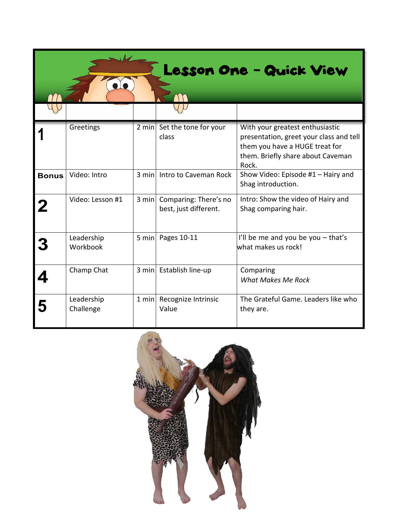| Lesson One - Quick View |                         |                 |                                                |                                                                                                                                                            |
|-------------------------|-------------------------|-----------------|------------------------------------------------|------------------------------------------------------------------------------------------------------------------------------------------------------------|
|                         |                         |                 |                                                |                                                                                                                                                            |
|                         | Greetings               |                 | 2 min Set the tone for your<br>class           | With your greatest enthusiastic<br>presentation, greet your class and tell<br>them you have a HUGE treat for<br>them. Briefly share about Caveman<br>Rock. |
| <b>Bonus</b>            | Video: Intro            |                 | 3 min Intro to Caveman Rock                    | Show Video: Episode #1 - Hairy and<br>Shag introduction.                                                                                                   |
| 2                       | Video: Lesson #1        | 3 min           | Comparing: There's no<br>best, just different. | Intro: Show the video of Hairy and<br>Shag comparing hair.                                                                                                 |
|                         | Leadership<br>Workbook  | $5 \text{ min}$ | Pages 10-11                                    | I'll be me and you be you $-$ that's<br>what makes us rock!                                                                                                |
|                         | Champ Chat              |                 | 3 min Establish line-up                        | Comparing<br><b>What Makes Me Rock</b>                                                                                                                     |
|                         | Leadership<br>Challenge | 1 min           | Recognize Intrinsic<br>Value                   | The Grateful Game, Leaders like who<br>they are.                                                                                                           |